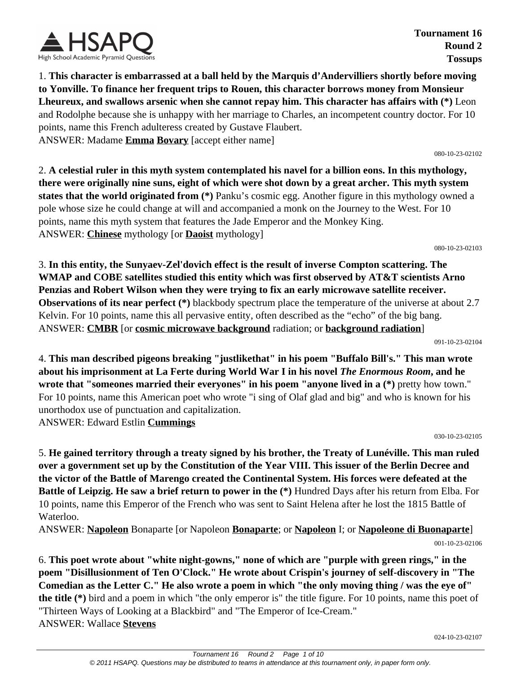

**Tournament 16 Round 2 Tossups**

1. **This character is embarrassed at a ball held by the Marquis d'Andervilliers shortly before moving to Yonville. To finance her frequent trips to Rouen, this character borrows money from Monsieur Lheureux, and swallows arsenic when she cannot repay him. This character has affairs with (\*)** Leon and Rodolphe because she is unhappy with her marriage to Charles, an incompetent country doctor. For 10 points, name this French adulteress created by Gustave Flaubert. ANSWER: Madame **Emma Bovary** [accept either name]

080-10-23-02102

2. **A celestial ruler in this myth system contemplated his navel for a billion eons. In this mythology, there were originally nine suns, eight of which were shot down by a great archer. This myth system states that the world originated from (\*)** Panku's cosmic egg. Another figure in this mythology owned a pole whose size he could change at will and accompanied a monk on the Journey to the West. For 10 points, name this myth system that features the Jade Emperor and the Monkey King. ANSWER: **Chinese** mythology [or **Daoist** mythology]

080-10-23-02103

3. **In this entity, the Sunyaev-Zel'dovich effect is the result of inverse Compton scattering. The WMAP and COBE satellites studied this entity which was first observed by AT&T scientists Arno Penzias and Robert Wilson when they were trying to fix an early microwave satellite receiver. Observations of its near perfect (\*)** blackbody spectrum place the temperature of the universe at about 2.7 Kelvin. For 10 points, name this all pervasive entity, often described as the "echo" of the big bang. ANSWER: **CMBR** [or **cosmic microwave background** radiation; or **background radiation**]

091-10-23-02104

4. **This man described pigeons breaking "justlikethat" in his poem "Buffalo Bill's." This man wrote about his imprisonment at La Ferte during World War I in his novel** *The Enormous Room***, and he wrote that "someones married their everyones" in his poem "anyone lived in a (\*)** pretty how town." For 10 points, name this American poet who wrote "i sing of Olaf glad and big" and who is known for his unorthodox use of punctuation and capitalization.

ANSWER: Edward Estlin **Cummings**

030-10-23-02105

5. **He gained territory through a treaty signed by his brother, the Treaty of Lunéville. This man ruled over a government set up by the Constitution of the Year VIII. This issuer of the Berlin Decree and the victor of the Battle of Marengo created the Continental System. His forces were defeated at the Battle of Leipzig. He saw a brief return to power in the (\*)** Hundred Days after his return from Elba. For 10 points, name this Emperor of the French who was sent to Saint Helena after he lost the 1815 Battle of Waterloo.

ANSWER: **Napoleon** Bonaparte [or Napoleon **Bonaparte**; or **Napoleon** I; or **Napoleone di Buonaparte**]

001-10-23-02106

6. **This poet wrote about "white night-gowns," none of which are "purple with green rings," in the poem "Disillusionment of Ten O'Clock." He wrote about Crispin's journey of self-discovery in "The Comedian as the Letter C." He also wrote a poem in which "the only moving thing / was the eye of" the title (\*)** bird and a poem in which "the only emperor is" the title figure. For 10 points, name this poet of "Thirteen Ways of Looking at a Blackbird" and "The Emperor of Ice-Cream." ANSWER: Wallace **Stevens**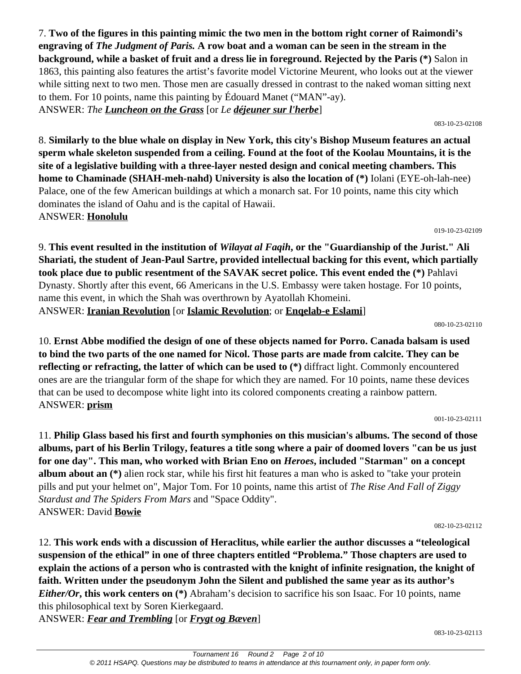7. **Two of the figures in this painting mimic the two men in the bottom right corner of Raimondi's engraving of** *The Judgment of Paris.* **A row boat and a woman can be seen in the stream in the background, while a basket of fruit and a dress lie in foreground. Rejected by the Paris (\*)** Salon in 1863, this painting also features the artist's favorite model Victorine Meurent, who looks out at the viewer while sitting next to two men. Those men are casually dressed in contrast to the naked woman sitting next to them. For 10 points, name this painting by Édouard Manet ("MAN"-ay). ANSWER: *The Luncheon on the Grass* [or *Le déjeuner sur l'herbe*]

8. **Similarly to the blue whale on display in New York, this city's Bishop Museum features an actual sperm whale skeleton suspended from a ceiling. Found at the foot of the Koolau Mountains, it is the site of a legislative building with a three-layer nested design and conical meeting chambers. This home to Chaminade (SHAH-meh-nahd) University is also the location of (\*)** Iolani (EYE-oh-lah-nee) Palace, one of the few American buildings at which a monarch sat. For 10 points, name this city which dominates the island of Oahu and is the capital of Hawaii. ANSWER: **Honolulu**

9. **This event resulted in the institution of** *Wilayat al Faqih***, or the "Guardianship of the Jurist." Ali Shariati, the student of Jean-Paul Sartre, provided intellectual backing for this event, which partially took place due to public resentment of the SAVAK secret police. This event ended the (\*)** Pahlavi Dynasty. Shortly after this event, 66 Americans in the U.S. Embassy were taken hostage. For 10 points, name this event, in which the Shah was overthrown by Ayatollah Khomeini. ANSWER: **Iranian Revolution** [or **Islamic Revolution**; or **Enqelab-e Eslami**]

10. **Ernst Abbe modified the design of one of these objects named for Porro. Canada balsam is used to bind the two parts of the one named for Nicol. Those parts are made from calcite. They can be reflecting or refracting, the latter of which can be used to (\*)** diffract light. Commonly encountered ones are are the triangular form of the shape for which they are named. For 10 points, name these devices that can be used to decompose white light into its colored components creating a rainbow pattern. ANSWER: **prism**

11. **Philip Glass based his first and fourth symphonies on this musician's albums. The second of those albums, part of his Berlin Trilogy, features a title song where a pair of doomed lovers "can be us just for one day". This man, who worked with Brian Eno on** *Heroes***, included "Starman" on a concept album about an (\*)** alien rock star, while his first hit features a man who is asked to "take your protein pills and put your helmet on", Major Tom. For 10 points, name this artist of *The Rise And Fall of Ziggy Stardust and The Spiders From Mars* and "Space Oddity". ANSWER: David **Bowie**

12. **This work ends with a discussion of Heraclitus, while earlier the author discusses a "teleological suspension of the ethical" in one of three chapters entitled "Problema." Those chapters are used to explain the actions of a person who is contrasted with the knight of infinite resignation, the knight of faith. Written under the pseudonym John the Silent and published the same year as its author's**  *Either/Or***, this work centers on (\*)** Abraham's decision to sacrifice his son Isaac. For 10 points, name this philosophical text by Soren Kierkegaard.

ANSWER: *Fear and Trembling* [or *Frygt og Bæven*]

080-10-23-02110

001-10-23-02111

082-10-23-02112

083-10-23-02113

019-10-23-02109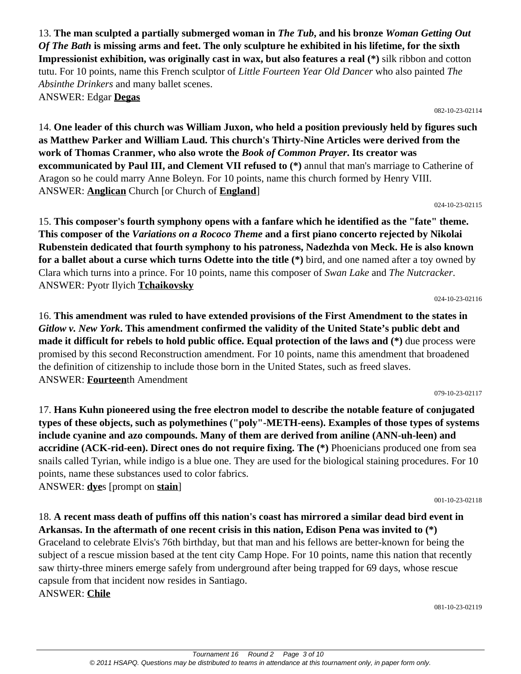13. **The man sculpted a partially submerged woman in** *The Tub***, and his bronze** *Woman Getting Out Of The Bath* **is missing arms and feet. The only sculpture he exhibited in his lifetime, for the sixth Impressionist exhibition, was originally cast in wax, but also features a real (\*)** silk ribbon and cotton tutu. For 10 points, name this French sculptor of *Little Fourteen Year Old Dancer* who also painted *The Absinthe Drinkers* and many ballet scenes. ANSWER: Edgar **Degas**

082-10-23-02114

14. **One leader of this church was William Juxon, who held a position previously held by figures such as Matthew Parker and William Laud. This church's Thirty-Nine Articles were derived from the work of Thomas Cranmer, who also wrote the** *Book of Common Prayer***. Its creator was excommunicated by Paul III, and Clement VII refused to (\*)** annul that man's marriage to Catherine of Aragon so he could marry Anne Boleyn. For 10 points, name this church formed by Henry VIII. ANSWER: **Anglican** Church [or Church of **England**]

024-10-23-02115

15. **This composer's fourth symphony opens with a fanfare which he identified as the "fate" theme. This composer of the** *Variations on a Rococo Theme* **and a first piano concerto rejected by Nikolai Rubenstein dedicated that fourth symphony to his patroness, Nadezhda von Meck. He is also known for a ballet about a curse which turns Odette into the title (\*)** bird, and one named after a toy owned by Clara which turns into a prince. For 10 points, name this composer of *Swan Lake* and *The Nutcracker*. ANSWER: Pyotr Ilyich **Tchaikovsky**

024-10-23-02116

16. **This amendment was ruled to have extended provisions of the First Amendment to the states in**  *Gitlow v. New York***. This amendment confirmed the validity of the United State's public debt and made it difficult for rebels to hold public office. Equal protection of the laws and (\*)** due process were promised by this second Reconstruction amendment. For 10 points, name this amendment that broadened the definition of citizenship to include those born in the United States, such as freed slaves. ANSWER: **Fourteen**th Amendment

079-10-23-02117

17. **Hans Kuhn pioneered using the free electron model to describe the notable feature of conjugated types of these objects, such as polymethines ("poly"-METH-eens). Examples of those types of systems include cyanine and azo compounds. Many of them are derived from aniline (ANN-uh-leen) and accridine (ACK-rid-een). Direct ones do not require fixing. The (\*)** Phoenicians produced one from sea snails called Tyrian, while indigo is a blue one. They are used for the biological staining procedures. For 10 points, name these substances used to color fabrics.

ANSWER: **dye**s [prompt on **stain**]

001-10-23-02118

# 18. **A recent mass death of puffins off this nation's coast has mirrored a similar dead bird event in Arkansas. In the aftermath of one recent crisis in this nation, Edison Pena was invited to (\*)**

Graceland to celebrate Elvis's 76th birthday, but that man and his fellows are better-known for being the subject of a rescue mission based at the tent city Camp Hope. For 10 points, name this nation that recently saw thirty-three miners emerge safely from underground after being trapped for 69 days, whose rescue capsule from that incident now resides in Santiago.

ANSWER: **Chile**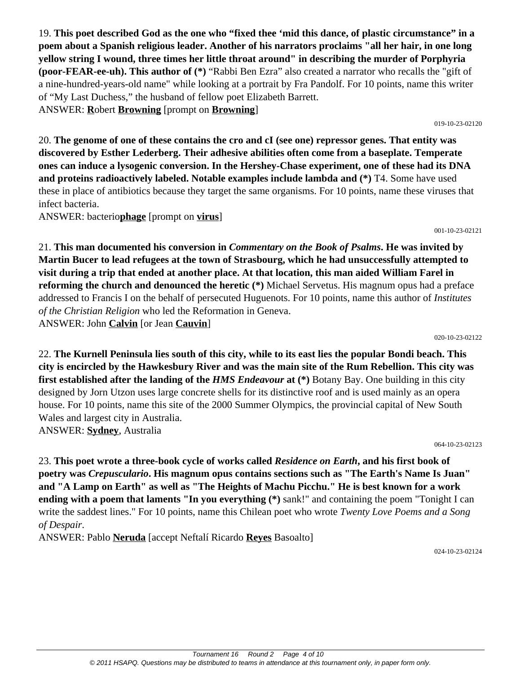19. **This poet described God as the one who "fixed thee 'mid this dance, of plastic circumstance" in a poem about a Spanish religious leader. Another of his narrators proclaims "all her hair, in one long yellow string I wound, three times her little throat around" in describing the murder of Porphyria (poor-FEAR-ee-uh). This author of (\*)** "Rabbi Ben Ezra" also created a narrator who recalls the "gift of a nine-hundred-years-old name" while looking at a portrait by Fra Pandolf. For 10 points, name this writer of "My Last Duchess," the husband of fellow poet Elizabeth Barrett. ANSWER: **R**obert **Browning** [prompt on **Browning**]

20. **The genome of one of these contains the cro and cI (see one) repressor genes. That entity was discovered by Esther Lederberg. Their adhesive abilities often come from a baseplate. Temperate ones can induce a lysogenic conversion. In the Hershey-Chase experiment, one of these had its DNA and proteins radioactively labeled. Notable examples include lambda and (\*)** T4. Some have used these in place of antibiotics because they target the same organisms. For 10 points, name these viruses that infect bacteria.

ANSWER: bacterio**phage** [prompt on **virus**]

21. **This man documented his conversion in** *Commentary on the Book of Psalms***. He was invited by Martin Bucer to lead refugees at the town of Strasbourg, which he had unsuccessfully attempted to visit during a trip that ended at another place. At that location, this man aided William Farel in reforming the church and denounced the heretic (\*)** Michael Servetus. His magnum opus had a preface addressed to Francis I on the behalf of persecuted Huguenots. For 10 points, name this author of *Institutes of the Christian Religion* who led the Reformation in Geneva. ANSWER: John **Calvin** [or Jean **Cauvin**]

22. **The Kurnell Peninsula lies south of this city, while to its east lies the popular Bondi beach. This city is encircled by the Hawkesbury River and was the main site of the Rum Rebellion. This city was first established after the landing of the** *HMS Endeavour* **at (\*)** Botany Bay. One building in this city designed by Jorn Utzon uses large concrete shells for its distinctive roof and is used mainly as an opera house. For 10 points, name this site of the 2000 Summer Olympics, the provincial capital of New South Wales and largest city in Australia. ANSWER: **Sydney**, Australia

23. **This poet wrote a three-book cycle of works called** *Residence on Earth***, and his first book of poetry was** *Crepusculario***. His magnum opus contains sections such as "The Earth's Name Is Juan" and "A Lamp on Earth" as well as "The Heights of Machu Picchu." He is best known for a work ending with a poem that laments "In you everything (\*)** sank!" and containing the poem "Tonight I can write the saddest lines." For 10 points, name this Chilean poet who wrote *Twenty Love Poems and a Song of Despair*.

ANSWER: Pablo **Neruda** [accept Neftalí Ricardo **Reyes** Basoalto]

024-10-23-02124

#### 001-10-23-02121

019-10-23-02120

064-10-23-02123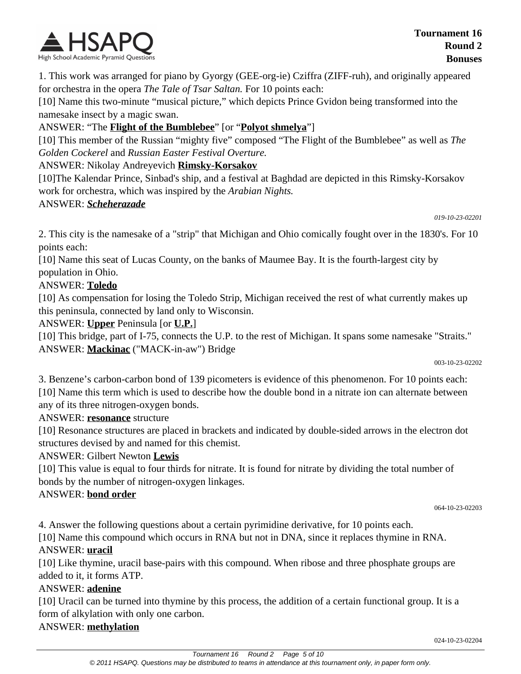

1. This work was arranged for piano by Gyorgy (GEE-org-ie) Cziffra (ZIFF-ruh), and originally appeared for orchestra in the opera *The Tale of Tsar Saltan.* For 10 points each:

[10] Name this two-minute "musical picture," which depicts Prince Gvidon being transformed into the namesake insect by a magic swan.

## ANSWER: "The **Flight of the Bumblebee**" [or "**Polyot shmelya**"]

[10] This member of the Russian "mighty five" composed "The Flight of the Bumblebee" as well as *The Golden Cockerel* and *Russian Easter Festival Overture.*

## ANSWER: Nikolay Andreyevich **Rimsky-Korsakov**

[10]The Kalendar Prince, Sinbad's ship, and a festival at Baghdad are depicted in this Rimsky-Korsakov work for orchestra, which was inspired by the *Arabian Nights.*

#### ANSWER: *Scheherazade*

*019-10-23-02201*

2. This city is the namesake of a "strip" that Michigan and Ohio comically fought over in the 1830's. For 10 points each:

[10] Name this seat of Lucas County, on the banks of Maumee Bay. It is the fourth-largest city by population in Ohio.

## ANSWER: **Toledo**

[10] As compensation for losing the Toledo Strip, Michigan received the rest of what currently makes up this peninsula, connected by land only to Wisconsin.

ANSWER: **Upper** Peninsula [or **U.P.**]

[10] This bridge, part of I-75, connects the U.P. to the rest of Michigan. It spans some namesake "Straits." ANSWER: **Mackinac** ("MACK-in-aw") Bridge

003-10-23-02202

3. Benzene's carbon-carbon bond of 139 picometers is evidence of this phenomenon. For 10 points each: [10] Name this term which is used to describe how the double bond in a nitrate ion can alternate between any of its three nitrogen-oxygen bonds.

## ANSWER: **resonance** structure

[10] Resonance structures are placed in brackets and indicated by double-sided arrows in the electron dot structures devised by and named for this chemist.

## ANSWER: Gilbert Newton **Lewis**

[10] This value is equal to four thirds for nitrate. It is found for nitrate by dividing the total number of bonds by the number of nitrogen-oxygen linkages.

## ANSWER: **bond order**

064-10-23-02203

4. Answer the following questions about a certain pyrimidine derivative, for 10 points each.

[10] Name this compound which occurs in RNA but not in DNA, since it replaces thymine in RNA. ANSWER: **uracil**

[10] Like thymine, uracil base-pairs with this compound. When ribose and three phosphate groups are added to it, it forms ATP.

## ANSWER: **adenine**

[10] Uracil can be turned into thymine by this process, the addition of a certain functional group. It is a form of alkylation with only one carbon.

## ANSWER: **methylation**

024-10-23-02204

© 2011 HSAPQ. Questions may be distributed to teams in attendance at this tournament only, in paper form only.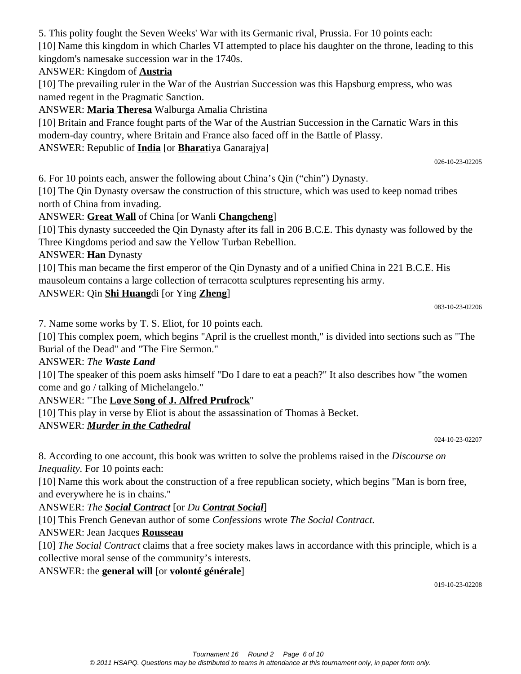kingdom's namesake succession war in the 1740s.

5. This polity fought the Seven Weeks' War with its Germanic rival, Prussia. For 10 points each:

#### ANSWER: Kingdom of **Austria**

[10] The prevailing ruler in the War of the Austrian Succession was this Hapsburg empress, who was named regent in the Pragmatic Sanction.

[10] Name this kingdom in which Charles VI attempted to place his daughter on the throne, leading to this

ANSWER: **Maria Theresa** Walburga Amalia Christina

[10] Britain and France fought parts of the War of the Austrian Succession in the Carnatic Wars in this modern-day country, where Britain and France also faced off in the Battle of Plassy. ANSWER: Republic of **India** [or **Bharat**iya Ganarajya]

026-10-23-02205

6. For 10 points each, answer the following about China's Qin ("chin") Dynasty.

[10] The Qin Dynasty oversaw the construction of this structure, which was used to keep nomad tribes north of China from invading.

#### ANSWER: **Great Wall** of China [or Wanli **Changcheng**]

[10] This dynasty succeeded the Qin Dynasty after its fall in 206 B.C.E. This dynasty was followed by the Three Kingdoms period and saw the Yellow Turban Rebellion.

ANSWER: **Han** Dynasty

[10] This man became the first emperor of the Qin Dynasty and of a unified China in 221 B.C.E. His mausoleum contains a large collection of terracotta sculptures representing his army.

#### ANSWER: Qin **Shi Huang**di [or Ying **Zheng**]

083-10-23-02206

7. Name some works by T. S. Eliot, for 10 points each.

[10] This complex poem, which begins "April is the cruellest month," is divided into sections such as "The Burial of the Dead" and "The Fire Sermon."

#### ANSWER: *The Waste Land*

[10] The speaker of this poem asks himself "Do I dare to eat a peach?" It also describes how "the women come and go / talking of Michelangelo."

ANSWER: "The **Love Song of J. Alfred Prufrock**"

[10] This play in verse by Eliot is about the assassination of Thomas à Becket.

#### ANSWER: *Murder in the Cathedral*

024-10-23-02207

8. According to one account, this book was written to solve the problems raised in the *Discourse on Inequality.* For 10 points each:

[10] Name this work about the construction of a free republican society, which begins "Man is born free, and everywhere he is in chains."

ANSWER: *The Social Contract* [or *Du Contrat Social*]

[10] This French Genevan author of some *Confessions* wrote *The Social Contract.*

#### ANSWER: Jean Jacques **Rousseau**

[10] *The Social Contract* claims that a free society makes laws in accordance with this principle, which is a collective moral sense of the community's interests.

#### ANSWER: the **general will** [or **volonté générale**]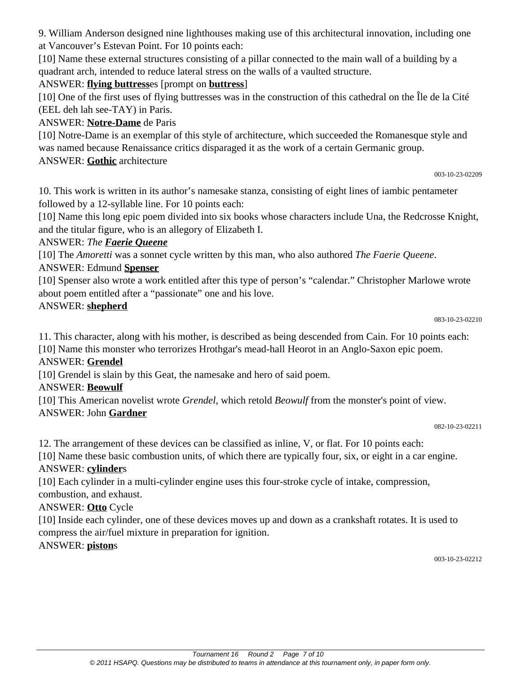9. William Anderson designed nine lighthouses making use of this architectural innovation, including one at Vancouver's Estevan Point. For 10 points each:

[10] Name these external structures consisting of a pillar connected to the main wall of a building by a quadrant arch, intended to reduce lateral stress on the walls of a vaulted structure.

# ANSWER: **flying buttress**es [prompt on **buttress**]

[10] One of the first uses of flying buttresses was in the construction of this cathedral on the Île de la Cité (EEL deh lah see-TAY) in Paris.

# ANSWER: **Notre-Dame** de Paris

[10] Notre-Dame is an exemplar of this style of architecture, which succeeded the Romanesque style and was named because Renaissance critics disparaged it as the work of a certain Germanic group. ANSWER: **Gothic** architecture

#### 003-10-23-02209

10. This work is written in its author's namesake stanza, consisting of eight lines of iambic pentameter followed by a 12-syllable line. For 10 points each:

[10] Name this long epic poem divided into six books whose characters include Una, the Redcrosse Knight, and the titular figure, who is an allegory of Elizabeth I.

#### ANSWER: *The Faerie Queene*

[10] The *Amoretti* was a sonnet cycle written by this man, who also authored *The Faerie Queene*.

## ANSWER: Edmund **Spenser**

[10] Spenser also wrote a work entitled after this type of person's "calendar." Christopher Marlowe wrote about poem entitled after a "passionate" one and his love.

#### ANSWER: **shepherd**

#### 083-10-23-02210

11. This character, along with his mother, is described as being descended from Cain. For 10 points each: [10] Name this monster who terrorizes Hrothgar's mead-hall Heorot in an Anglo-Saxon epic poem.

## ANSWER: **Grendel**

[10] Grendel is slain by this Geat, the namesake and hero of said poem.

# ANSWER: **Beowulf**

[10] This American novelist wrote *Grendel*, which retold *Beowulf* from the monster's point of view. ANSWER: John **Gardner**

12. The arrangement of these devices can be classified as inline, V, or flat. For 10 points each:

[10] Name these basic combustion units, of which there are typically four, six, or eight in a car engine. ANSWER: **cylinder**s

[10] Each cylinder in a multi-cylinder engine uses this four-stroke cycle of intake, compression, combustion, and exhaust.

## ANSWER: **Otto** Cycle

[10] Inside each cylinder, one of these devices moves up and down as a crankshaft rotates. It is used to compress the air/fuel mixture in preparation for ignition.

## ANSWER: **piston**s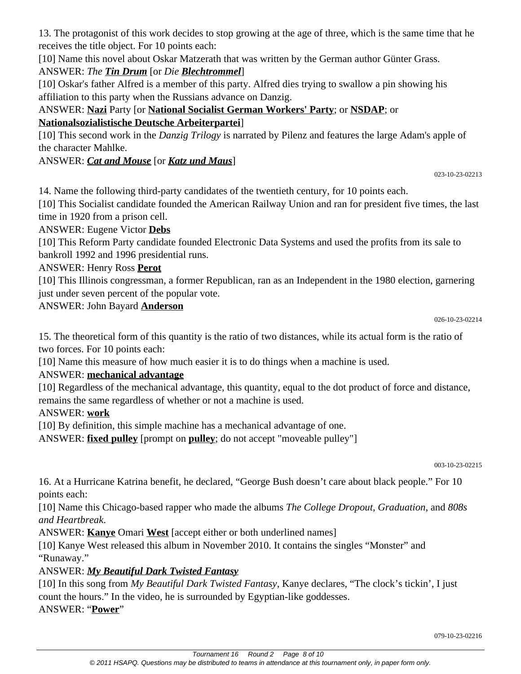13. The protagonist of this work decides to stop growing at the age of three, which is the same time that he receives the title object. For 10 points each:

[10] Name this novel about Oskar Matzerath that was written by the German author Günter Grass.

# ANSWER: *The Tin Drum* [or *Die Blechtrommel*]

[10] Oskar's father Alfred is a member of this party. Alfred dies trying to swallow a pin showing his affiliation to this party when the Russians advance on Danzig.

ANSWER: **Nazi** Party [or **National Socialist German Workers' Party**; or **NSDAP**; or **Nationalsozialistische Deutsche Arbeiterpartei**]

[10] This second work in the *Danzig Trilogy* is narrated by Pilenz and features the large Adam's apple of the character Mahlke.

# ANSWER: *Cat and Mouse* [or *Katz und Maus*]

023-10-23-02213

14. Name the following third-party candidates of the twentieth century, for 10 points each.

[10] This Socialist candidate founded the American Railway Union and ran for president five times, the last time in 1920 from a prison cell.

ANSWER: Eugene Victor **Debs**

[10] This Reform Party candidate founded Electronic Data Systems and used the profits from its sale to bankroll 1992 and 1996 presidential runs.

# ANSWER: Henry Ross **Perot**

[10] This Illinois congressman, a former Republican, ran as an Independent in the 1980 election, garnering just under seven percent of the popular vote.

ANSWER: John Bayard **Anderson**

026-10-23-02214

15. The theoretical form of this quantity is the ratio of two distances, while its actual form is the ratio of two forces. For 10 points each:

[10] Name this measure of how much easier it is to do things when a machine is used.

# ANSWER: **mechanical advantage**

[10] Regardless of the mechanical advantage, this quantity, equal to the dot product of force and distance, remains the same regardless of whether or not a machine is used.

# ANSWER: **work**

[10] By definition, this simple machine has a mechanical advantage of one.

ANSWER: **fixed pulley** [prompt on **pulley**; do not accept "moveable pulley"]

003-10-23-02215

16. At a Hurricane Katrina benefit, he declared, "George Bush doesn't care about black people." For 10 points each:

[10] Name this Chicago-based rapper who made the albums *The College Dropout*, *Graduation*, and *808s and Heartbreak*.

ANSWER: **Kanye** Omari **West** [accept either or both underlined names]

[10] Kanye West released this album in November 2010. It contains the singles "Monster" and "Runaway."

# ANSWER: *My Beautiful Dark Twisted Fantasy*

[10] In this song from *My Beautiful Dark Twisted Fantasy*, Kanye declares, "The clock's tickin', I just count the hours." In the video, he is surrounded by Egyptian-like goddesses. ANSWER: "**Power**"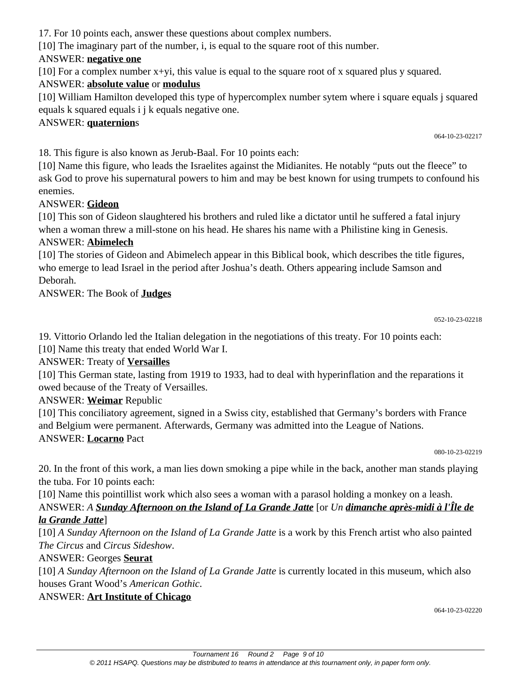17. For 10 points each, answer these questions about complex numbers.

[10] The imaginary part of the number, i, is equal to the square root of this number.

## ANSWER: **negative one**

[10] For a complex number x+yi, this value is equal to the square root of x squared plus y squared.

# ANSWER: **absolute value** or **modulus**

[10] William Hamilton developed this type of hypercomplex number sytem where i square equals j squared equals k squared equals i j k equals negative one.

## ANSWER: **quaternion**s

064-10-23-02217

18. This figure is also known as Jerub-Baal. For 10 points each:

[10] Name this figure, who leads the Israelites against the Midianites. He notably "puts out the fleece" to ask God to prove his supernatural powers to him and may be best known for using trumpets to confound his enemies.

# ANSWER: **Gideon**

[10] This son of Gideon slaughtered his brothers and ruled like a dictator until he suffered a fatal injury when a woman threw a mill-stone on his head. He shares his name with a Philistine king in Genesis.

## ANSWER: **Abimelech**

[10] The stories of Gideon and Abimelech appear in this Biblical book, which describes the title figures, who emerge to lead Israel in the period after Joshua's death. Others appearing include Samson and Deborah.

# ANSWER: The Book of **Judges**

19. Vittorio Orlando led the Italian delegation in the negotiations of this treaty. For 10 points each:

[10] Name this treaty that ended World War I.

# ANSWER: Treaty of **Versailles**

[10] This German state, lasting from 1919 to 1933, had to deal with hyperinflation and the reparations it owed because of the Treaty of Versailles.

# ANSWER: **Weimar** Republic

[10] This conciliatory agreement, signed in a Swiss city, established that Germany's borders with France and Belgium were permanent. Afterwards, Germany was admitted into the League of Nations. ANSWER: **Locarno** Pact

080-10-23-02219

20. In the front of this work, a man lies down smoking a pipe while in the back, another man stands playing the tuba. For 10 points each:

[10] Name this pointillist work which also sees a woman with a parasol holding a monkey on a leash.

# ANSWER: *A Sunday Afternoon on the Island of La Grande Jatte* [or *Un dimanche après-midi à l'Île de la Grande Jatte*]

[10] *A Sunday Afternoon on the Island of La Grande Jatte* is a work by this French artist who also painted *The Circus* and *Circus Sideshow*.

# ANSWER: Georges **Seurat**

[10] *A Sunday Afternoon on the Island of La Grande Jatte* is currently located in this museum, which also houses Grant Wood's *American Gothic*.

# ANSWER: **Art Institute of Chicago**